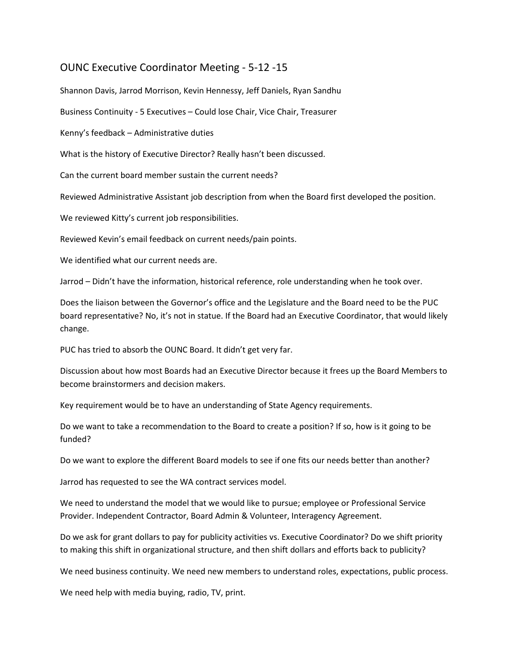## OUNC Executive Coordinator Meeting - 5-12 -15

Shannon Davis, Jarrod Morrison, Kevin Hennessy, Jeff Daniels, Ryan Sandhu

Business Continuity - 5 Executives – Could lose Chair, Vice Chair, Treasurer

Kenny's feedback – Administrative duties

What is the history of Executive Director? Really hasn't been discussed.

Can the current board member sustain the current needs?

Reviewed Administrative Assistant job description from when the Board first developed the position.

We reviewed Kitty's current job responsibilities.

Reviewed Kevin's email feedback on current needs/pain points.

We identified what our current needs are.

Jarrod – Didn't have the information, historical reference, role understanding when he took over.

Does the liaison between the Governor's office and the Legislature and the Board need to be the PUC board representative? No, it's not in statue. If the Board had an Executive Coordinator, that would likely change.

PUC has tried to absorb the OUNC Board. It didn't get very far.

Discussion about how most Boards had an Executive Director because it frees up the Board Members to become brainstormers and decision makers.

Key requirement would be to have an understanding of State Agency requirements.

Do we want to take a recommendation to the Board to create a position? If so, how is it going to be funded?

Do we want to explore the different Board models to see if one fits our needs better than another?

Jarrod has requested to see the WA contract services model.

We need to understand the model that we would like to pursue; employee or Professional Service Provider. Independent Contractor, Board Admin & Volunteer, Interagency Agreement.

Do we ask for grant dollars to pay for publicity activities vs. Executive Coordinator? Do we shift priority to making this shift in organizational structure, and then shift dollars and efforts back to publicity?

We need business continuity. We need new members to understand roles, expectations, public process.

We need help with media buying, radio, TV, print.